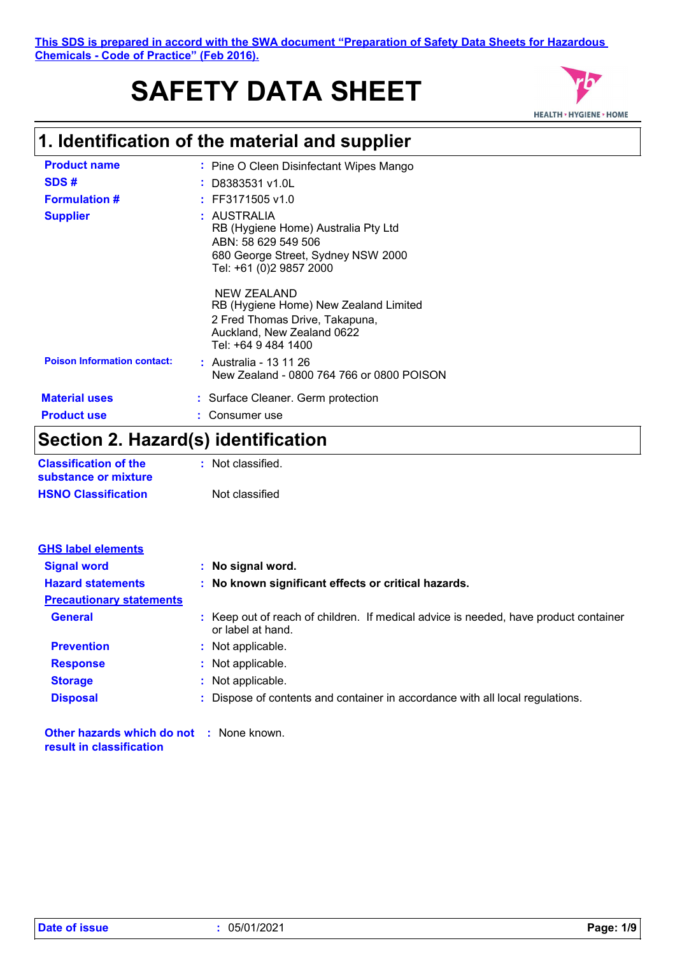# **SAFETY DATA SHEET**



## **1. Identification of the material and supplier**

| <b>Product name</b>                | : Pine O Cleen Disinfectant Wipes Mango                                                                                                     |
|------------------------------------|---------------------------------------------------------------------------------------------------------------------------------------------|
| SDS#                               | : D8383531 v1.0L                                                                                                                            |
| <b>Formulation #</b>               | $:$ FF3171505 v1.0                                                                                                                          |
| <b>Supplier</b>                    | : AUSTRALIA<br>RB (Hygiene Home) Australia Pty Ltd<br>ABN: 58 629 549 506<br>680 George Street, Sydney NSW 2000<br>Tel: +61 (0)2 9857 2000  |
|                                    | NEW ZEALAND<br>RB (Hygiene Home) New Zealand Limited<br>2 Fred Thomas Drive, Takapuna,<br>Auckland, New Zealand 0622<br>Tel: +64 9 484 1400 |
| <b>Poison Information contact:</b> | : Australia - 13 11 26<br>New Zealand - 0800 764 766 or 0800 POISON                                                                         |
| <b>Material uses</b>               | : Surface Cleaner. Germ protection                                                                                                          |
| <b>Product use</b>                 | Consumer use                                                                                                                                |
| .                                  |                                                                                                                                             |

### **Section 2. Hazard(s) identification**

| <b>Classification of the</b> | : Not classified. |
|------------------------------|-------------------|
| substance or mixture         |                   |
| <b>HSNO Classification</b>   | Not classified    |

| <b>GHS label elements</b>       |                                                                                                           |
|---------------------------------|-----------------------------------------------------------------------------------------------------------|
| <b>Signal word</b>              | : No signal word.                                                                                         |
| <b>Hazard statements</b>        | : No known significant effects or critical hazards.                                                       |
| <b>Precautionary statements</b> |                                                                                                           |
| <b>General</b>                  | : Keep out of reach of children. If medical advice is needed, have product container<br>or label at hand. |
| <b>Prevention</b>               | : Not applicable.                                                                                         |
| <b>Response</b>                 | : Not applicable.                                                                                         |
| <b>Storage</b>                  | : Not applicable.                                                                                         |
| <b>Disposal</b>                 | : Dispose of contents and container in accordance with all local regulations.                             |
|                                 |                                                                                                           |

**Other hazards which do not :** None known. **result in classification**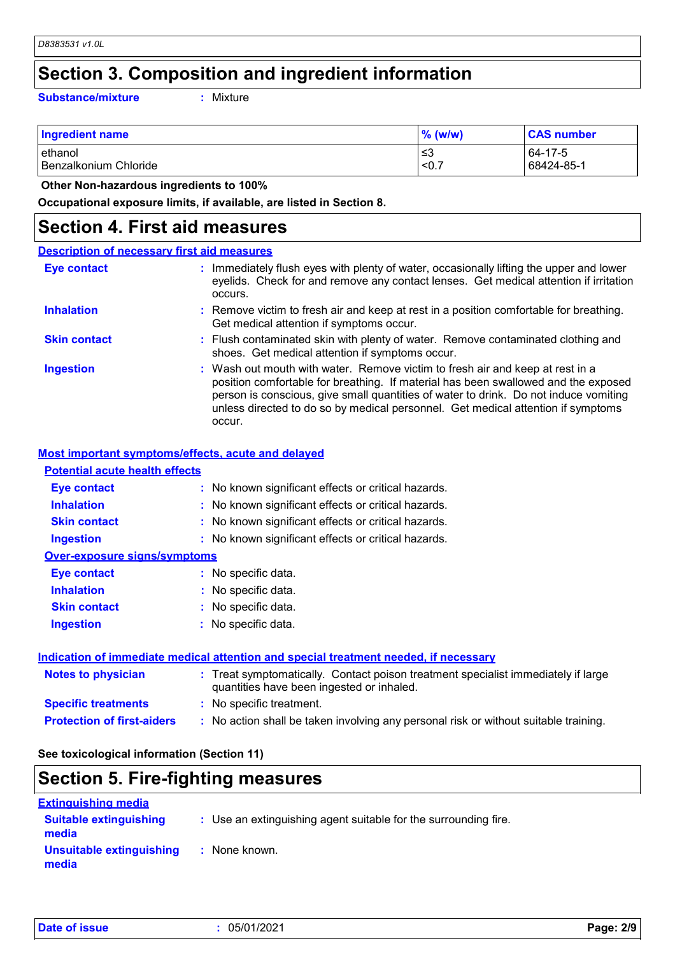### **Section 3. Composition and ingredient information**

**Substance/mixture :**

: Mixture

| <b>Ingredient name</b> | $\%$ (w/w) | <b>CAS number</b> |
|------------------------|------------|-------------------|
| lethanol               | ≤3         | 64-17-5           |
| Benzalkonium Chloride  | < 0.7      | 68424-85-1        |

 **Other Non-hazardous ingredients to 100%**

**Occupational exposure limits, if available, are listed in Section 8.**

### **Section 4. First aid measures**

| <b>Description of necessary first aid measures</b> |                                                                                                                                                                                                                                                                                                                                                           |
|----------------------------------------------------|-----------------------------------------------------------------------------------------------------------------------------------------------------------------------------------------------------------------------------------------------------------------------------------------------------------------------------------------------------------|
| Eye contact                                        | : Immediately flush eyes with plenty of water, occasionally lifting the upper and lower<br>eyelids. Check for and remove any contact lenses. Get medical attention if irritation<br>occurs.                                                                                                                                                               |
| <b>Inhalation</b>                                  | : Remove victim to fresh air and keep at rest in a position comfortable for breathing.<br>Get medical attention if symptoms occur.                                                                                                                                                                                                                        |
| <b>Skin contact</b>                                | : Flush contaminated skin with plenty of water. Remove contaminated clothing and<br>shoes. Get medical attention if symptoms occur.                                                                                                                                                                                                                       |
| <b>Ingestion</b>                                   | : Wash out mouth with water. Remove victim to fresh air and keep at rest in a<br>position comfortable for breathing. If material has been swallowed and the exposed<br>person is conscious, give small quantities of water to drink. Do not induce vomiting<br>unless directed to do so by medical personnel. Get medical attention if symptoms<br>occur. |

#### **Most important symptoms/effects, acute and delayed**

| <b>Potential acute health effects</b> |                                                     |
|---------------------------------------|-----------------------------------------------------|
| Eye contact                           | : No known significant effects or critical hazards. |
| <b>Inhalation</b>                     | : No known significant effects or critical hazards. |
| <b>Skin contact</b>                   | : No known significant effects or critical hazards. |
| <b>Ingestion</b>                      | : No known significant effects or critical hazards. |
| <b>Over-exposure signs/symptoms</b>   |                                                     |
| Eye contact                           | : No specific data.                                 |
| <b>Inhalation</b>                     | : No specific data.                                 |
| <b>Skin contact</b>                   | : No specific data.                                 |
| <b>Ingestion</b>                      | : No specific data.                                 |
|                                       |                                                     |
|                                       |                                                     |

| Indication of immediate medical attention and special treatment needed, if necessary |                                                                                                                                |  |
|--------------------------------------------------------------------------------------|--------------------------------------------------------------------------------------------------------------------------------|--|
| <b>Notes to physician</b>                                                            | : Treat symptomatically. Contact poison treatment specialist immediately if large<br>quantities have been ingested or inhaled. |  |
| <b>Specific treatments</b>                                                           | : No specific treatment.                                                                                                       |  |
| <b>Protection of first-aiders</b>                                                    | : No action shall be taken involving any personal risk or without suitable training.                                           |  |

**See toxicological information (Section 11)**

### **Section 5. Fire-fighting measures**

| <b>Extinguishing media</b>             |                                                                 |
|----------------------------------------|-----------------------------------------------------------------|
| <b>Suitable extinguishing</b><br>media | : Use an extinguishing agent suitable for the surrounding fire. |
| Unsuitable extinguishing<br>media      | : None known.                                                   |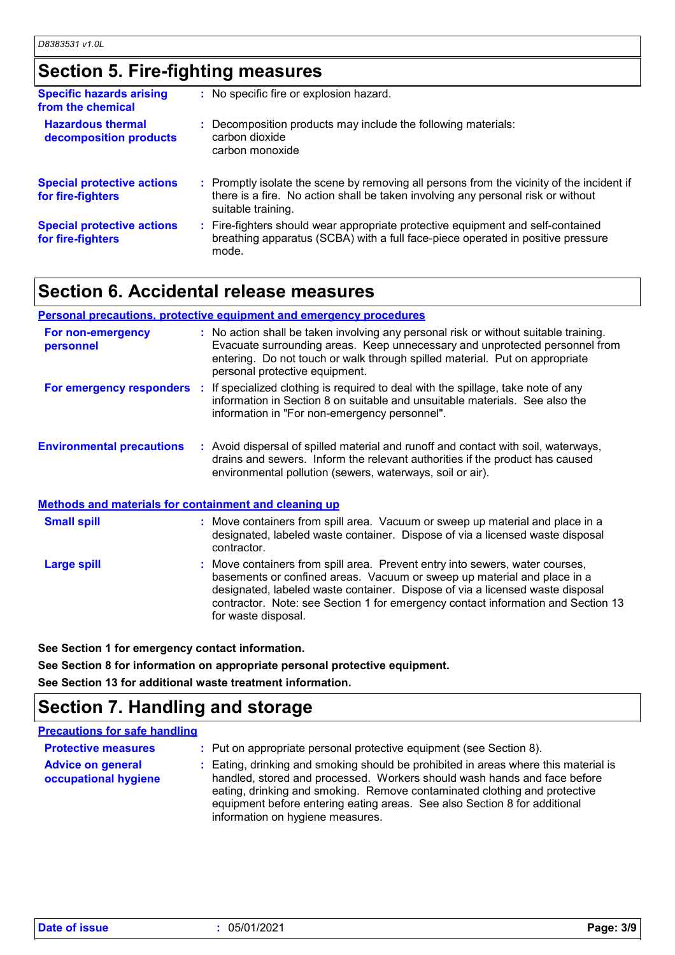### **Section 5. Fire-fighting measures**

| <b>Specific hazards arising</b><br>from the chemical   | : No specific fire or explosion hazard.                                                                                                                                                             |
|--------------------------------------------------------|-----------------------------------------------------------------------------------------------------------------------------------------------------------------------------------------------------|
| <b>Hazardous thermal</b><br>decomposition products     | : Decomposition products may include the following materials:<br>carbon dioxide<br>carbon monoxide                                                                                                  |
| <b>Special protective actions</b><br>for fire-fighters | : Promptly isolate the scene by removing all persons from the vicinity of the incident if<br>there is a fire. No action shall be taken involving any personal risk or without<br>suitable training. |
| <b>Special protective actions</b><br>for fire-fighters | : Fire-fighters should wear appropriate protective equipment and self-contained<br>breathing apparatus (SCBA) with a full face-piece operated in positive pressure<br>mode.                         |

### **Section 6. Accidental release measures**

#### **Personal precautions, protective equipment and emergency procedures**

| For non-emergency<br>personnel                        | : No action shall be taken involving any personal risk or without suitable training.<br>Evacuate surrounding areas. Keep unnecessary and unprotected personnel from<br>entering. Do not touch or walk through spilled material. Put on appropriate<br>personal protective equipment. |  |
|-------------------------------------------------------|--------------------------------------------------------------------------------------------------------------------------------------------------------------------------------------------------------------------------------------------------------------------------------------|--|
| For emergency responders                              | : If specialized clothing is required to deal with the spillage, take note of any<br>information in Section 8 on suitable and unsuitable materials. See also the<br>information in "For non-emergency personnel".                                                                    |  |
| <b>Environmental precautions</b>                      | : Avoid dispersal of spilled material and runoff and contact with soil, waterways,<br>drains and sewers. Inform the relevant authorities if the product has caused<br>environmental pollution (sewers, waterways, soil or air).                                                      |  |
| Methods and materials for containment and cleaning up |                                                                                                                                                                                                                                                                                      |  |
| <b>Small spill</b>                                    | : Move containers from spill area. Vacuum or sweep up material and place in a<br>designated, labeled waste container. Dispose of via a licensed waste disposal                                                                                                                       |  |

Move containers from spill area. Prevent entry into sewers, water courses, basements or confined areas. Vacuum or sweep up material and place in a designated, labeled waste container. Dispose of via a licensed waste disposal contractor. Note: see Section 1 for emergency contact information and Section 13 for waste disposal. **Large spill :** contractor.

**See Section 1 for emergency contact information.**

**See Section 8 for information on appropriate personal protective equipment. See Section 13 for additional waste treatment information.**

### **Section 7. Handling and storage**

#### **Precautions for safe handling**

| <b>Protective measures</b><br><b>Advice on general</b><br>occupational hygiene | : Put on appropriate personal protective equipment (see Section 8).<br>: Eating, drinking and smoking should be prohibited in areas where this material is<br>handled, stored and processed. Workers should wash hands and face before<br>eating, drinking and smoking. Remove contaminated clothing and protective<br>equipment before entering eating areas. See also Section 8 for additional |
|--------------------------------------------------------------------------------|--------------------------------------------------------------------------------------------------------------------------------------------------------------------------------------------------------------------------------------------------------------------------------------------------------------------------------------------------------------------------------------------------|
|                                                                                | information on hygiene measures.                                                                                                                                                                                                                                                                                                                                                                 |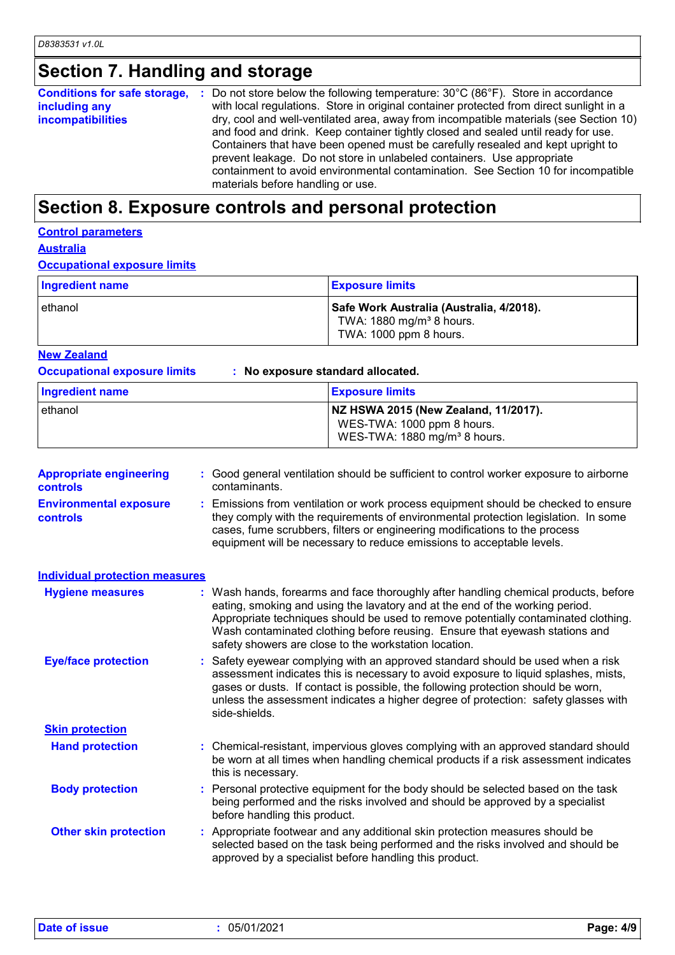## **Section 7. Handling and storage**

| Conditions for safe storage, : | Do not store below the following temperature: $30^{\circ}$ C (86 $^{\circ}$ F). Store in accordance |
|--------------------------------|-----------------------------------------------------------------------------------------------------|
| including any                  | with local regulations. Store in original container protected from direct sunlight in a             |
| incompatibilities              | dry, cool and well-ventilated area, away from incompatible materials (see Section 10)               |
|                                | and food and drink. Keep container tightly closed and sealed until ready for use.                   |
|                                | Containers that have been opened must be carefully resealed and kept upright to                     |
|                                | prevent leakage. Do not store in unlabeled containers. Use appropriate                              |
|                                | containment to avoid environmental contamination. See Section 10 for incompatible                   |
|                                | materials before handling or use.                                                                   |

### **Section 8. Exposure controls and personal protection**

### **Control parameters**

**Australia**

#### **Occupational exposure limits**

| Ingredient name | <b>Exposure limits</b>                                                                                     |
|-----------------|------------------------------------------------------------------------------------------------------------|
| lethanol        | Safe Work Australia (Australia, 4/2018).<br>TWA: 1880 mg/m <sup>3</sup> 8 hours.<br>TWA: 1000 ppm 8 hours. |

#### **New Zealand**

**Occupational exposure limits : No exposure standard allocated.**

| Ingredient name | <b>Exposure limits</b>                                                                                         |
|-----------------|----------------------------------------------------------------------------------------------------------------|
| ethanol         | NZ HSWA 2015 (New Zealand, 11/2017).<br>WES-TWA: 1000 ppm 8 hours.<br>WES-TWA: 1880 mg/m <sup>3</sup> 8 hours. |

| <b>Appropriate engineering</b><br>controls       | : Good general ventilation should be sufficient to control worker exposure to airborne<br>contaminants.                                                                                                                                                                                                                                                                                           |
|--------------------------------------------------|---------------------------------------------------------------------------------------------------------------------------------------------------------------------------------------------------------------------------------------------------------------------------------------------------------------------------------------------------------------------------------------------------|
| <b>Environmental exposure</b><br><b>controls</b> | : Emissions from ventilation or work process equipment should be checked to ensure<br>they comply with the requirements of environmental protection legislation. In some<br>cases, fume scrubbers, filters or engineering modifications to the process<br>equipment will be necessary to reduce emissions to acceptable levels.                                                                   |
| <b>Individual protection measures</b>            |                                                                                                                                                                                                                                                                                                                                                                                                   |
| <b>Hygiene measures</b>                          | : Wash hands, forearms and face thoroughly after handling chemical products, before<br>eating, smoking and using the lavatory and at the end of the working period.<br>Appropriate techniques should be used to remove potentially contaminated clothing.<br>Wash contaminated clothing before reusing. Ensure that eyewash stations and<br>safety showers are close to the workstation location. |
| <b>Eye/face protection</b>                       | : Safety eyewear complying with an approved standard should be used when a risk<br>assessment indicates this is necessary to avoid exposure to liquid splashes, mists,<br>gases or dusts. If contact is possible, the following protection should be worn,<br>unless the assessment indicates a higher degree of protection: safety glasses with<br>side-shields.                                 |
| <b>Skin protection</b>                           |                                                                                                                                                                                                                                                                                                                                                                                                   |
| <b>Hand protection</b>                           | : Chemical-resistant, impervious gloves complying with an approved standard should<br>be worn at all times when handling chemical products if a risk assessment indicates<br>this is necessary.                                                                                                                                                                                                   |
| <b>Body protection</b>                           | : Personal protective equipment for the body should be selected based on the task<br>being performed and the risks involved and should be approved by a specialist<br>before handling this product.                                                                                                                                                                                               |
| <b>Other skin protection</b>                     | : Appropriate footwear and any additional skin protection measures should be<br>selected based on the task being performed and the risks involved and should be<br>approved by a specialist before handling this product.                                                                                                                                                                         |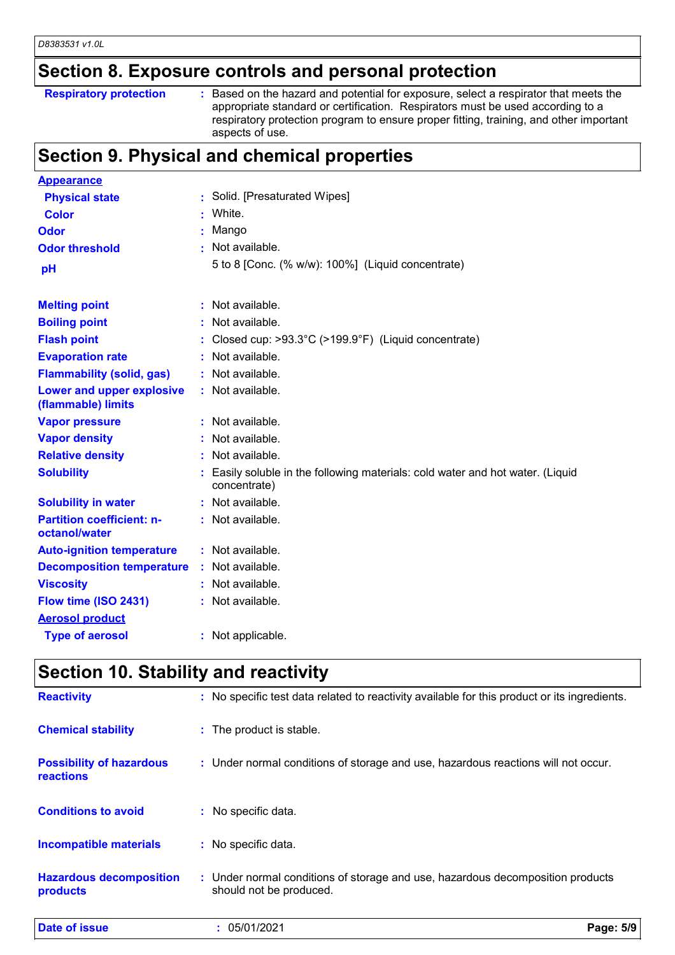## **Section 8. Exposure controls and personal protection**

| <b>Respiratory protection</b> |  |
|-------------------------------|--|
|-------------------------------|--|

**Respiratory protection** : Based on the hazard and potential for exposure, select a respirator that meets the appropriate standard or certification. Respirators must be used according to a respiratory protection program to ensure proper fitting, training, and other important aspects of use.

## **Section 9. Physical and chemical properties**

| <b>Appearance</b>                                 |                                                                                                |
|---------------------------------------------------|------------------------------------------------------------------------------------------------|
| <b>Physical state</b>                             | Solid. [Presaturated Wipes]                                                                    |
| <b>Color</b>                                      | White.                                                                                         |
| Odor                                              | Mango                                                                                          |
| <b>Odor threshold</b>                             | Not available.                                                                                 |
| pH                                                | 5 to 8 [Conc. (% w/w): 100%] (Liquid concentrate)                                              |
| <b>Melting point</b>                              | : Not available.                                                                               |
| <b>Boiling point</b>                              | : Not available.                                                                               |
| <b>Flash point</b>                                | : Closed cup: $>93.3^{\circ}$ C ( $>199.9^{\circ}$ F) (Liquid concentrate)                     |
| <b>Evaporation rate</b>                           | : Not available.                                                                               |
| <b>Flammability (solid, gas)</b>                  | : Not available.                                                                               |
| Lower and upper explosive<br>(flammable) limits   | : Not available.                                                                               |
| <b>Vapor pressure</b>                             | : Not available.                                                                               |
| <b>Vapor density</b>                              | : Not available.                                                                               |
| <b>Relative density</b>                           | : Not available.                                                                               |
| <b>Solubility</b>                                 | : Easily soluble in the following materials: cold water and hot water. (Liquid<br>concentrate) |
| <b>Solubility in water</b>                        | : Not available.                                                                               |
| <b>Partition coefficient: n-</b><br>octanol/water | : Not available.                                                                               |
| <b>Auto-ignition temperature</b>                  | : Not available.                                                                               |
| <b>Decomposition temperature</b>                  | : Not available.                                                                               |
| <b>Viscosity</b>                                  | : Not available.                                                                               |
| Flow time (ISO 2431)                              | : Not available.                                                                               |
| <b>Aerosol product</b>                            |                                                                                                |
| <b>Type of aerosol</b>                            | : Not applicable.                                                                              |

### **Section 10. Stability and reactivity**

| <b>Date of issue</b>                                | : 05/01/2021                                                                                              | Page: 5/9 |
|-----------------------------------------------------|-----------------------------------------------------------------------------------------------------------|-----------|
| <b>Hazardous decomposition</b><br>products          | : Under normal conditions of storage and use, hazardous decomposition products<br>should not be produced. |           |
| <b>Incompatible materials</b>                       | : No specific data.                                                                                       |           |
| <b>Conditions to avoid</b>                          | : No specific data.                                                                                       |           |
| <b>Possibility of hazardous</b><br><b>reactions</b> | : Under normal conditions of storage and use, hazardous reactions will not occur.                         |           |
| <b>Chemical stability</b>                           | : The product is stable.                                                                                  |           |
| <b>Reactivity</b>                                   | : No specific test data related to reactivity available for this product or its ingredients.              |           |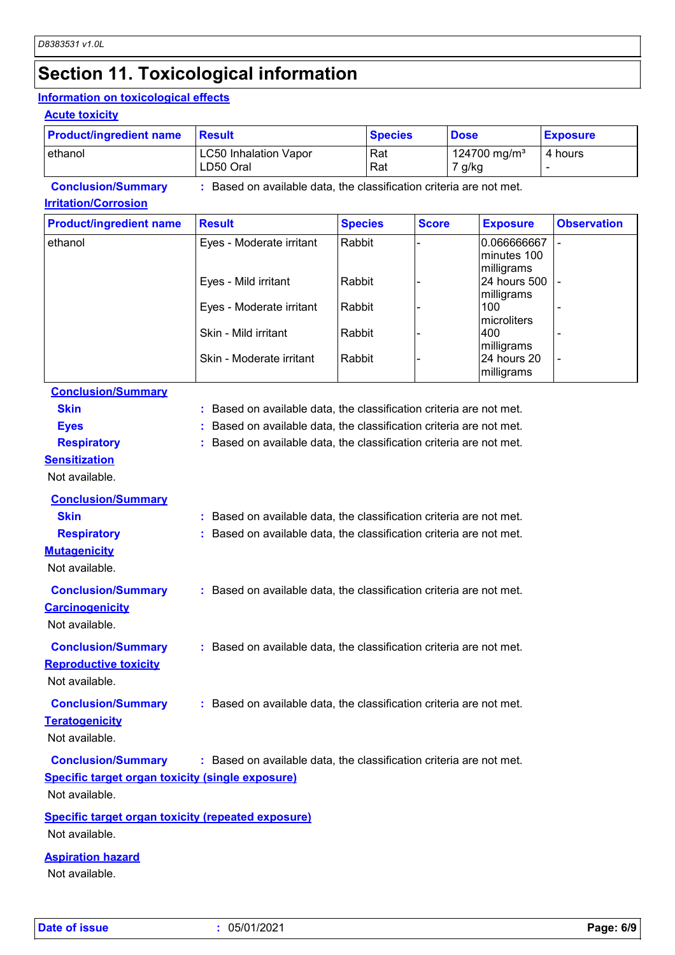## **Section 11. Toxicological information**

#### **Information on toxicological effects**

#### **Acute toxicity**

| <b>Product/ingredient name</b> | <b>Result</b>                                                     | <b>Species</b> | <b>Dose</b>                        | <b>Exposure</b> |
|--------------------------------|-------------------------------------------------------------------|----------------|------------------------------------|-----------------|
| lethanol                       | <b>LC50 Inhalation Vapor</b><br>LD50 Oral                         | l Rat<br>  Rat | 124700 mg/m <sup>3</sup><br>7 g/kg | 4 hours         |
| <b>Conclusion/Summary</b>      | Based on available data, the classification criteria are not met. |                |                                    |                 |

#### **Irritation/Corrosion**

| <b>Product/ingredient name</b> | <b>Result</b>            | <b>Species</b> | <b>Score</b> | <b>Exposure</b>                          | <b>Observation</b> |
|--------------------------------|--------------------------|----------------|--------------|------------------------------------------|--------------------|
| ethanol                        | Eyes - Moderate irritant | Rabbit         |              | 0.066666667<br>minutes 100<br>milligrams |                    |
|                                | Eyes - Mild irritant     | Rabbit         |              | 24 hours 500<br>milligrams               |                    |
|                                | Eyes - Moderate irritant | Rabbit         |              | 100<br>microliters                       |                    |
|                                | Skin - Mild irritant     | Rabbit         |              | 400<br>milligrams                        |                    |
|                                | Skin - Moderate irritant | Rabbit         |              | 24 hours 20<br>milligrams                |                    |

### **Conclusion/Summary**

| <b>Skin</b>                                               | : Based on available data, the classification criteria are not met. |
|-----------------------------------------------------------|---------------------------------------------------------------------|
| <b>Eyes</b>                                               | Based on available data, the classification criteria are not met.   |
| <b>Respiratory</b>                                        | : Based on available data, the classification criteria are not met. |
| <b>Sensitization</b>                                      |                                                                     |
| Not available.                                            |                                                                     |
| <b>Conclusion/Summary</b>                                 |                                                                     |
| <b>Skin</b>                                               | : Based on available data, the classification criteria are not met. |
| <b>Respiratory</b>                                        | : Based on available data, the classification criteria are not met. |
| <b>Mutagenicity</b>                                       |                                                                     |
| Not available.                                            |                                                                     |
| <b>Conclusion/Summary</b>                                 | : Based on available data, the classification criteria are not met. |
| <b>Carcinogenicity</b>                                    |                                                                     |
| Not available.                                            |                                                                     |
| <b>Conclusion/Summary</b>                                 | : Based on available data, the classification criteria are not met. |
| <b>Reproductive toxicity</b>                              |                                                                     |
| Not available.                                            |                                                                     |
|                                                           |                                                                     |
| <b>Conclusion/Summary</b>                                 | : Based on available data, the classification criteria are not met. |
| <b>Teratogenicity</b>                                     |                                                                     |
| Not available.                                            |                                                                     |
| <b>Conclusion/Summary</b>                                 | : Based on available data, the classification criteria are not met. |
| <b>Specific target organ toxicity (single exposure)</b>   |                                                                     |
| Not available.                                            |                                                                     |
| <b>Specific target organ toxicity (repeated exposure)</b> |                                                                     |
| Not available.                                            |                                                                     |

#### **Aspiration hazard**

Not available.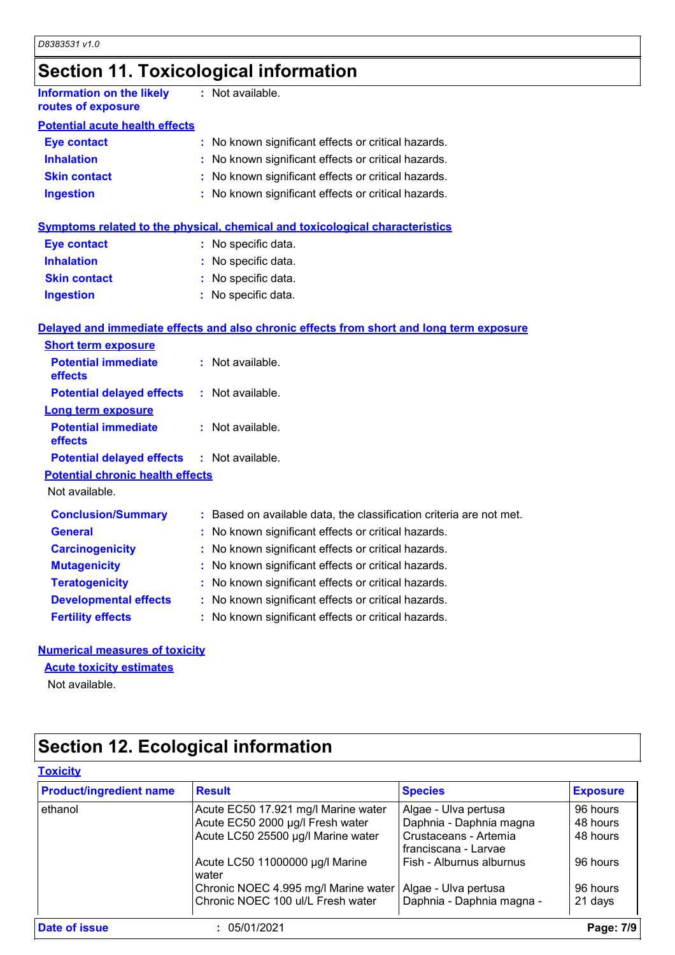**Ingestion**

## **Section 11. Toxicological information**

| <b>Information on the likely</b><br>routes of exposure | : Not available.                                    |
|--------------------------------------------------------|-----------------------------------------------------|
| <b>Potential acute health effects</b>                  |                                                     |
| <b>Eye contact</b>                                     | : No known significant effects or critical hazards. |
| <b>Inhalation</b>                                      | : No known significant effects or critical hazards. |
| <b>Skin contact</b>                                    | : No known significant effects or critical hazards. |
| <b>Ingestion</b>                                       | : No known significant effects or critical hazards. |

|                     | <b>Symptoms related to the physical, chemical and toxicological characteristics</b> |
|---------------------|-------------------------------------------------------------------------------------|
| Eye contact         | : No specific data.                                                                 |
| <b>Inhalation</b>   | : No specific data.                                                                 |
| <b>Skin contact</b> | : No specific data.                                                                 |

#### **Delayed and immediate effects and also chronic effects from short and long term exposure**

No specific data. **:**

| <b>Short term exposure</b>                        |                                                                     |
|---------------------------------------------------|---------------------------------------------------------------------|
| <b>Potential immediate</b><br><b>effects</b>      | $:$ Not available.                                                  |
| <b>Potential delayed effects</b>                  | : Not available.                                                    |
| Long term exposure                                |                                                                     |
| <b>Potential immediate</b><br>effects             | $:$ Not available.                                                  |
| <b>Potential delayed effects : Not available.</b> |                                                                     |
| <b>Potential chronic health effects</b>           |                                                                     |
| Not available.                                    |                                                                     |
| <b>Conclusion/Summary</b>                         | : Based on available data, the classification criteria are not met. |
| <b>General</b>                                    | : No known significant effects or critical hazards.                 |
| <b>Carcinogenicity</b>                            | : No known significant effects or critical hazards.                 |
| <b>Mutagenicity</b>                               | : No known significant effects or critical hazards.                 |
| <b>Teratogenicity</b>                             | : No known significant effects or critical hazards.                 |
| <b>Developmental effects</b>                      | : No known significant effects or critical hazards.                 |
| <b>Fertility effects</b>                          | : No known significant effects or critical hazards.                 |

#### **Numerical measures of toxicity**

#### **Acute toxicity estimates**

Not available.

## **Section 12. Ecological information**

| <b>Product/ingredient name</b> | <b>Result</b>                            | <b>Species</b>                                | <b>Exposure</b> |
|--------------------------------|------------------------------------------|-----------------------------------------------|-----------------|
| ethanol                        | Acute EC50 17.921 mg/l Marine water      | Algae - Ulva pertusa                          | 96 hours        |
|                                | Acute EC50 2000 µg/l Fresh water         | Daphnia - Daphnia magna                       | 48 hours        |
|                                | Acute LC50 25500 µg/l Marine water       | Crustaceans - Artemia<br>franciscana - Larvae | 48 hours        |
|                                | Acute LC50 11000000 µg/l Marine<br>water | Fish - Alburnus alburnus                      | 96 hours        |
|                                | Chronic NOEC 4.995 mg/l Marine water     | Algae - Ulva pertusa                          | 96 hours        |
|                                | Chronic NOEC 100 ul/L Fresh water        | Daphnia - Daphnia magna -                     | 21 days         |
| Date of issue                  | 05/01/2021                               |                                               | Page: 7/9       |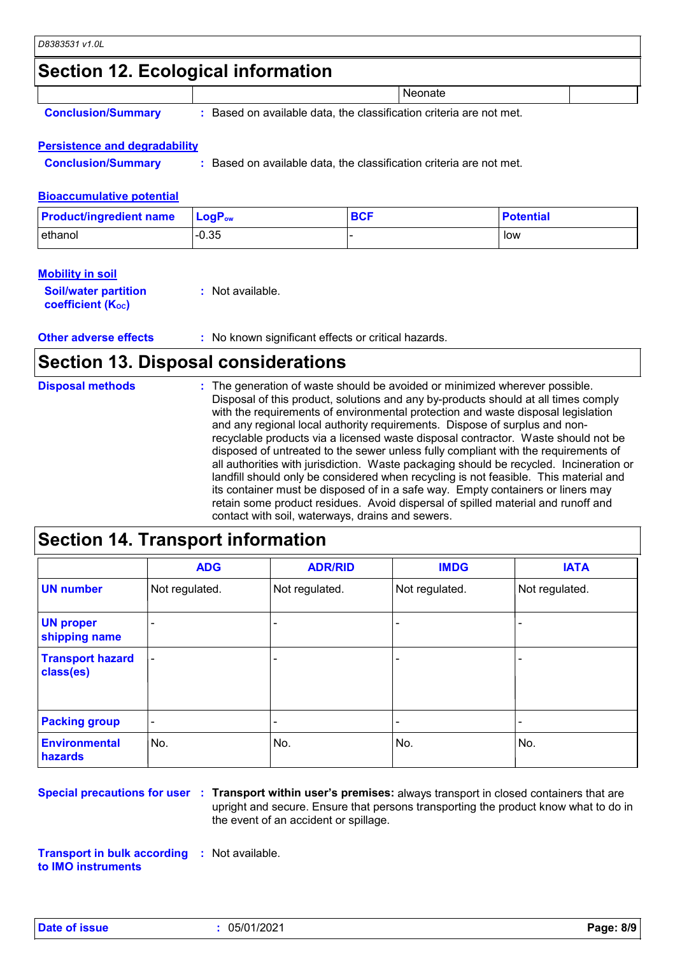### **Section 12. Ecological information**

|  |  | <b>Conclusion/Summary</b> |
|--|--|---------------------------|
|  |  |                           |

**:** Based on available data, the classification criteria are not met.

**Neonate** 

#### **Persistence and degradability**

**Conclusion/Summary :** Based on available data, the classification criteria are not met.

#### **Bioaccumulative potential**

| <b>Product/ingredient name</b> | $\mathsf{LocP}_\mathsf{ow}$ | <b>BCF</b> | <b>Potential</b> |
|--------------------------------|-----------------------------|------------|------------------|
| ethanol                        | $-0.35$                     |            | low              |

#### **Mobility in soil**

| <b>Soil/water partition</b> | : Not available. |
|-----------------------------|------------------|
| <b>coefficient (Koc)</b>    |                  |

**Other adverse effects** : No known significant effects or critical hazards.

### **Section 13. Disposal considerations**

| <b>Disposal methods</b> | : The generation of waste should be avoided or minimized wherever possible.<br>Disposal of this product, solutions and any by-products should at all times comply<br>with the requirements of environmental protection and waste disposal legislation<br>and any regional local authority requirements. Dispose of surplus and non-<br>recyclable products via a licensed waste disposal contractor. Waste should not be<br>disposed of untreated to the sewer unless fully compliant with the requirements of<br>all authorities with jurisdiction. Waste packaging should be recycled. Incineration or<br>landfill should only be considered when recycling is not feasible. This material and<br>its container must be disposed of in a safe way. Empty containers or liners may |
|-------------------------|-------------------------------------------------------------------------------------------------------------------------------------------------------------------------------------------------------------------------------------------------------------------------------------------------------------------------------------------------------------------------------------------------------------------------------------------------------------------------------------------------------------------------------------------------------------------------------------------------------------------------------------------------------------------------------------------------------------------------------------------------------------------------------------|
|                         | retain some product residues. Avoid dispersal of spilled material and runoff and<br>contact with soil, waterways, drains and sewers.                                                                                                                                                                                                                                                                                                                                                                                                                                                                                                                                                                                                                                                |

### **Section 14. Transport information**

|                                      | <b>ADG</b>               | <b>ADR/RID</b> | <b>IMDG</b>              | <b>IATA</b>    |
|--------------------------------------|--------------------------|----------------|--------------------------|----------------|
| <b>UN number</b>                     | Not regulated.           | Not regulated. | Not regulated.           | Not regulated. |
| <b>UN proper</b><br>shipping name    | $\overline{\phantom{0}}$ |                |                          |                |
| <b>Transport hazard</b><br>class(es) |                          |                | $\overline{\phantom{0}}$ |                |
| <b>Packing group</b>                 | $\overline{\phantom{a}}$ |                | $\blacksquare$           |                |
| <b>Environmental</b><br>hazards      | No.                      | No.            | No.                      | No.            |

**Special precautions for user Transport within user's premises:** always transport in closed containers that are **:** upright and secure. Ensure that persons transporting the product know what to do in the event of an accident or spillage.

**Transport in bulk according :** Not available. **to IMO instruments**